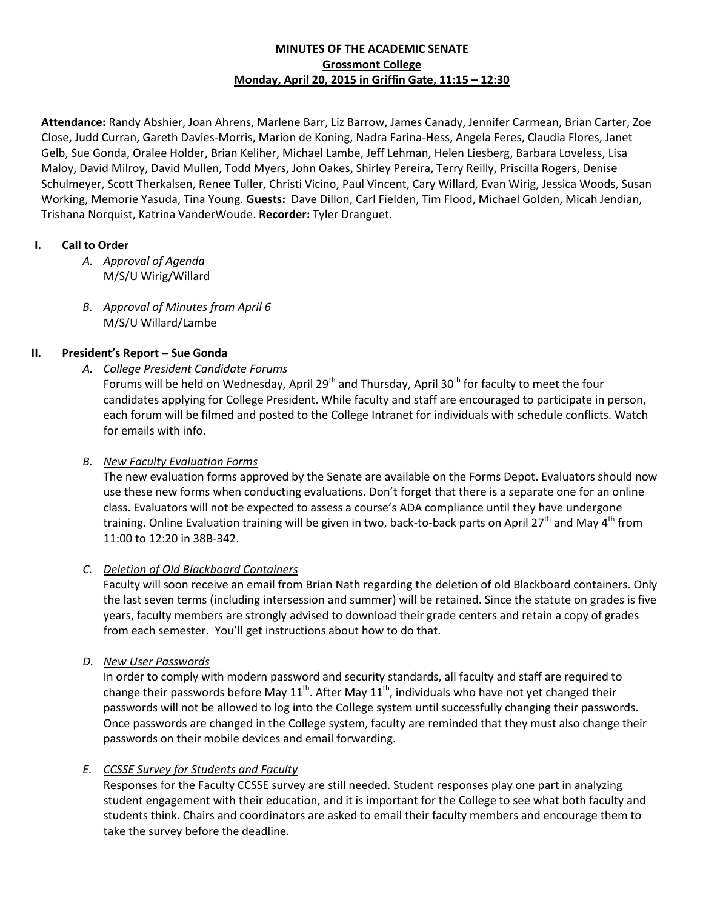# **MINUTES OF THE ACADEMIC SENATE Grossmont College Monday, April 20, 2015 in Griffin Gate, 11:15 – 12:30**

**Attendance:** Randy Abshier, Joan Ahrens, Marlene Barr, Liz Barrow, James Canady, Jennifer Carmean, Brian Carter, Zoe Close, Judd Curran, Gareth Davies-Morris, Marion de Koning, Nadra Farina-Hess, Angela Feres, Claudia Flores, Janet Gelb, Sue Gonda, Oralee Holder, Brian Keliher, Michael Lambe, Jeff Lehman, Helen Liesberg, Barbara Loveless, Lisa Maloy, David Milroy, David Mullen, Todd Myers, John Oakes, Shirley Pereira, Terry Reilly, Priscilla Rogers, Denise Schulmeyer, Scott Therkalsen, Renee Tuller, Christi Vicino, Paul Vincent, Cary Willard, Evan Wirig, Jessica Woods, Susan Working, Memorie Yasuda, Tina Young. **Guests:** Dave Dillon, Carl Fielden, Tim Flood, Michael Golden, Micah Jendian, Trishana Norquist, Katrina VanderWoude. **Recorder:** Tyler Dranguet.

# **I. Call to Order**

- *A. Approval of Agenda* M/S/U Wirig/Willard
- *B. Approval of Minutes from April 6* M/S/U Willard/Lambe

# **II. President's Report – Sue Gonda**

*A. College President Candidate Forums*

Forums will be held on Wednesday, April 29<sup>th</sup> and Thursday, April 30<sup>th</sup> for faculty to meet the four candidates applying for College President. While faculty and staff are encouraged to participate in person, each forum will be filmed and posted to the College Intranet for individuals with schedule conflicts. Watch for emails with info.

#### *B. New Faculty Evaluation Forms*

The new evaluation forms approved by the Senate are available on the Forms Depot. Evaluators should now use these new forms when conducting evaluations. Don't forget that there is a separate one for an online class. Evaluators will not be expected to assess a course's ADA compliance until they have undergone training. Online Evaluation training will be given in two, back-to-back parts on April 27<sup>th</sup> and May 4<sup>th</sup> from 11:00 to 12:20 in 38B-342.

# *C. Deletion of Old Blackboard Containers*

Faculty will soon receive an email from Brian Nath regarding the deletion of old Blackboard containers. Only the last seven terms (including intersession and summer) will be retained. Since the statute on grades is five years, faculty members are strongly advised to download their grade centers and retain a copy of grades from each semester. You'll get instructions about how to do that.

*D. New User Passwords*

In order to comply with modern password and security standards, all faculty and staff are required to change their passwords before May  $11^{th}$ . After May  $11^{th}$ , individuals who have not yet changed their passwords will not be allowed to log into the College system until successfully changing their passwords. Once passwords are changed in the College system, faculty are reminded that they must also change their passwords on their mobile devices and email forwarding.

# *E. CCSSE Survey for Students and Faculty*

Responses for the Faculty CCSSE survey are still needed. Student responses play one part in analyzing student engagement with their education, and it is important for the College to see what both faculty and students think. Chairs and coordinators are asked to email their faculty members and encourage them to take the survey before the deadline.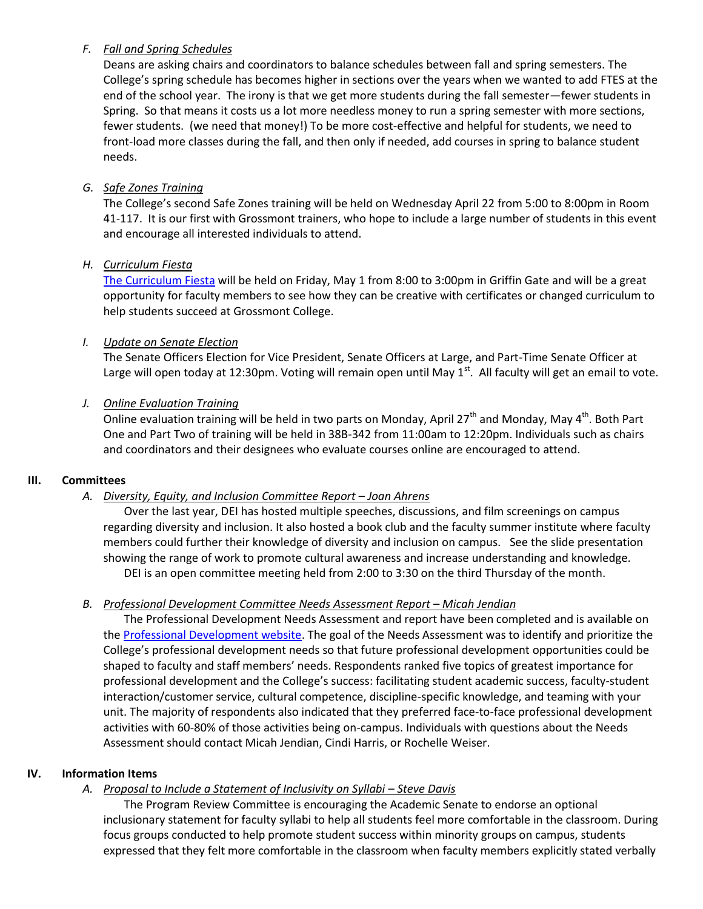# *F. Fall and Spring Schedules*

Deans are asking chairs and coordinators to balance schedules between fall and spring semesters. The College's spring schedule has becomes higher in sections over the years when we wanted to add FTES at the end of the school year. The irony is that we get more students during the fall semester—fewer students in Spring. So that means it costs us a lot more needless money to run a spring semester with more sections, fewer students. (we need that money!) To be more cost-effective and helpful for students, we need to front-load more classes during the fall, and then only if needed, add courses in spring to balance student needs.

# *G. Safe Zones Training*

The College's second Safe Zones training will be held on Wednesday April 22 from 5:00 to 8:00pm in Room 41-117. It is our first with Grossmont trainers, who hope to include a large number of students in this event and encourage all interested individuals to attend.

## *H. Curriculum Fiesta*

[The Curriculum Fiesta](http://www.grossmont.edu/college-info/planning/Presentations/curriculum-fiesta-event-.aspx) will be held on Friday, May 1 from 8:00 to 3:00pm in Griffin Gate and will be a great opportunity for faculty members to see how they can be creative with certificates or changed curriculum to help students succeed at Grossmont College.

## *I. Update on Senate Election*

The Senate Officers Election for Vice President, Senate Officers at Large, and Part-Time Senate Officer at Large will open today at 12:30pm. Voting will remain open until May 1<sup>st</sup>. All faculty will get an email to vote.

## *J. Online Evaluation Training*

Online evaluation training will be held in two parts on Monday, April 27<sup>th</sup> and Monday, May 4<sup>th</sup>. Both Part One and Part Two of training will be held in 38B-342 from 11:00am to 12:20pm. Individuals such as chairs and coordinators and their designees who evaluate courses online are encouraged to attend.

#### **III. Committees**

# A. Diversity, Equity, and Inclusion Committee Report – Joan Ahrens

Over the last year, DEI has hosted multiple speeches, discussions, and film screenings on campus regarding diversity and inclusion. It also hosted a book club and the faculty summer institute where faculty members could further their knowledge of diversity and inclusion on campus. See the slide presentation showing the range of work to promote cultural awareness and increase understanding and knowledge. DEI is an open committee meeting held from 2:00 to 3:30 on the third Thursday of the month.

#### *B. Professional Development Committee Needs Assessment Report – Micah Jendian*

The Professional Development Needs Assessment and report have been completed and is available on th[e Professional Development website.](http://www.grossmont.edu/faculty-staff/staffdevelop/default.aspx) The goal of the Needs Assessment was to identify and prioritize the College's professional development needs so that future professional development opportunities could be shaped to faculty and staff members' needs. Respondents ranked five topics of greatest importance for professional development and the College's success: facilitating student academic success, faculty-student interaction/customer service, cultural competence, discipline-specific knowledge, and teaming with your unit. The majority of respondents also indicated that they preferred face-to-face professional development activities with 60-80% of those activities being on-campus. Individuals with questions about the Needs Assessment should contact Micah Jendian, Cindi Harris, or Rochelle Weiser.

## **IV. Information Items**

# A. Proposal to Include a Statement of Inclusivity on Syllabi – Steve Davis

The Program Review Committee is encouraging the Academic Senate to endorse an optional inclusionary statement for faculty syllabi to help all students feel more comfortable in the classroom. During focus groups conducted to help promote student success within minority groups on campus, students expressed that they felt more comfortable in the classroom when faculty members explicitly stated verbally